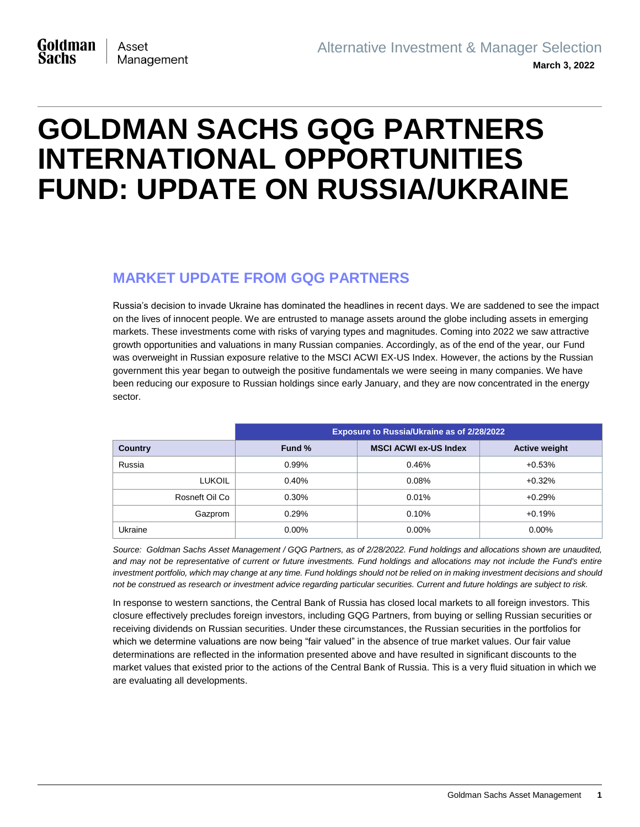# **GOLDMAN SACHS GQG PARTNERS INTERNATIONAL OPPORTUNITIES FUND: UPDATE ON RUSSIA/UKRAINE**

## **MARKET UPDATE FROM GQG PARTNERS**

Russia's decision to invade Ukraine has dominated the headlines in recent days. We are saddened to see the impact on the lives of innocent people. We are entrusted to manage assets around the globe including assets in emerging markets. These investments come with risks of varying types and magnitudes. Coming into 2022 we saw attractive growth opportunities and valuations in many Russian companies. Accordingly, as of the end of the year, our Fund was overweight in Russian exposure relative to the MSCI ACWI EX-US Index. However, the actions by the Russian government this year began to outweigh the positive fundamentals we were seeing in many companies. We have been reducing our exposure to Russian holdings since early January, and they are now concentrated in the energy sector.

|                | Exposure to Russia/Ukraine as of 2/28/2022 |                              |                      |
|----------------|--------------------------------------------|------------------------------|----------------------|
| <b>Country</b> | Fund %                                     | <b>MSCI ACWI ex-US Index</b> | <b>Active weight</b> |
| Russia         | 0.99%                                      | 0.46%                        | $+0.53%$             |
| <b>LUKOIL</b>  | 0.40%                                      | 0.08%                        | $+0.32%$             |
| Rosneft Oil Co | 0.30%                                      | 0.01%                        | $+0.29%$             |
| Gazprom        | 0.29%                                      | 0.10%                        | $+0.19%$             |
| Ukraine        | $0.00\%$                                   | $0.00\%$                     | $0.00\%$             |

*Source: Goldman Sachs Asset Management / GQG Partners, as of 2/28/2022. Fund holdings and allocations shown are unaudited,*  and may not be representative of current or future investments. Fund holdings and allocations may not include the Fund's entire *investment portfolio, which may change at any time. Fund holdings should not be relied on in making investment decisions and should not be construed as research or investment advice regarding particular securities. Current and future holdings are subject to risk.*

In response to western sanctions, the Central Bank of Russia has closed local markets to all foreign investors. This closure effectively precludes foreign investors, including GQG Partners, from buying or selling Russian securities or receiving dividends on Russian securities. Under these circumstances, the Russian securities in the portfolios for which we determine valuations are now being "fair valued" in the absence of true market values. Our fair value determinations are reflected in the information presented above and have resulted in significant discounts to the market values that existed prior to the actions of the Central Bank of Russia. This is a very fluid situation in which we are evaluating all developments.